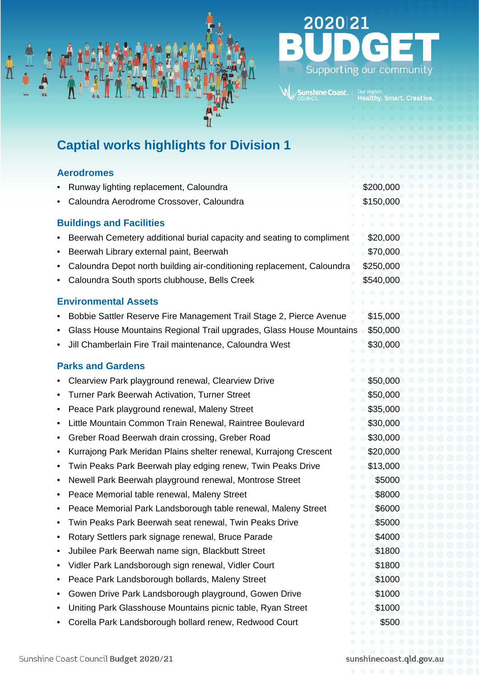

**Sunshine Coast** 

<sub>Our region.</sub><br>**Healthy. Smart. Creative.** 

## **Captial works highlights for Division 1**

## **Aerodromes**

 $\Lambda$ 

|                                 | Runway lighting replacement, Caloundra                                 | \$200,000 |
|---------------------------------|------------------------------------------------------------------------|-----------|
|                                 | Caloundra Aerodrome Crossover, Caloundra                               | \$150,000 |
| <b>Buildings and Facilities</b> |                                                                        |           |
|                                 | Beerwah Cemetery additional burial capacity and seating to compliment  | \$20,000  |
| ٠                               | Beerwah Library external paint, Beerwah                                | \$70,000  |
|                                 | Caloundra Depot north building air-conditioning replacement, Caloundra | \$250,000 |
|                                 | Caloundra South sports clubhouse, Bells Creek                          | \$540,000 |
|                                 |                                                                        |           |
| <b>Environmental Assets</b>     |                                                                        |           |
|                                 | Bobbie Sattler Reserve Fire Management Trail Stage 2, Pierce Avenue    | \$15,000  |
|                                 | Glass House Mountains Regional Trail upgrades, Glass House Mountains   | \$50,000  |
|                                 | Jill Chamberlain Fire Trail maintenance, Caloundra West                | \$30,000  |
| <b>Parks and Gardens</b>        |                                                                        |           |
|                                 | Clearview Park playground renewal, Clearview Drive                     | \$50,000  |
|                                 | Turner Park Beerwah Activation, Turner Street                          | \$50,000  |
|                                 | Peace Park playground renewal, Maleny Street                           | \$35,000  |
|                                 | Little Mountain Common Train Renewal, Raintree Boulevard               | \$30,000  |
|                                 | Greber Road Beerwah drain crossing, Greber Road                        | \$30,000  |
|                                 | Kurrajong Park Meridan Plains shelter renewal, Kurrajong Crescent      | \$20,000  |
|                                 | Twin Peaks Park Beerwah play edging renew, Twin Peaks Drive            | \$13,000  |
|                                 | Newell Park Beerwah playground renewal, Montrose Street                | \$5000    |
|                                 | Peace Memorial table renewal, Maleny Street                            | \$8000    |
|                                 | Peace Memorial Park Landsborough table renewal, Maleny Street          | \$6000    |
|                                 | Twin Peaks Park Beerwah seat renewal, Twin Peaks Drive                 | \$5000    |
|                                 | Rotary Settlers park signage renewal, Bruce Parade                     | \$4000    |
|                                 | Jubilee Park Beerwah name sign, Blackbutt Street                       | \$1800    |
| ٠                               | Vidler Park Landsborough sign renewal, Vidler Court                    | \$1800    |
|                                 | Peace Park Landsborough bollards, Maleny Street                        | \$1000    |
|                                 | Gowen Drive Park Landsborough playground, Gowen Drive                  | \$1000    |
|                                 | Uniting Park Glasshouse Mountains picnic table, Ryan Street            | \$1000    |
|                                 | Corella Park Landsborough bollard renew, Redwood Court                 | \$500     |
|                                 |                                                                        |           |

Sunshine Coast Council Budget 2020/21